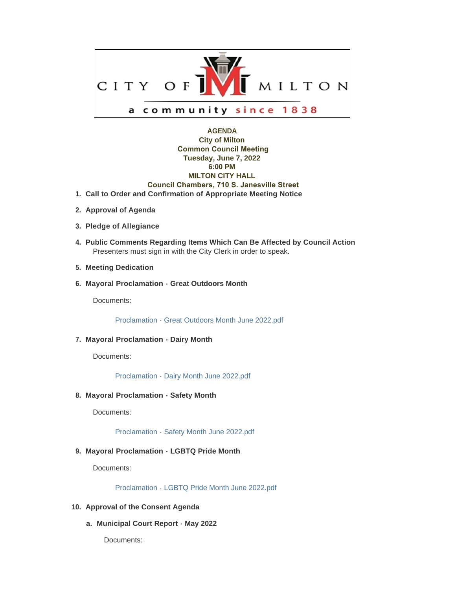

# **AGENDA City of Milton Common Council Meeting Tuesday, June 7, 2022 6:00 PM MILTON CITY HALL Council Chambers, 710 S. Janesville Street Call to Order and Confirmation of Appropriate Meeting Notice 1.**

- **Approval of Agenda 2.**
- **Pledge of Allegiance 3.**
- **Public Comments Regarding Items Which Can Be Affected by Council Action 4.** Presenters must sign in with the City Clerk in order to speak.
- **Meeting Dedication 5.**
- **Mayoral Proclamation Great Outdoors Month 6.**

Documents:

[Proclamation - Great Outdoors Month June 2022.pdf](https://www.milton-wi.gov/AgendaCenter/ViewFile/Item/9933?fileID=7719)

## **Mayoral Proclamation - Dairy Month 7.**

Documents:

[Proclamation - Dairy Month June 2022.pdf](https://www.milton-wi.gov/AgendaCenter/ViewFile/Item/9931?fileID=7794)

### **Mayoral Proclamation - Safety Month 8.**

Documents:

[Proclamation - Safety Month June 2022.pdf](https://www.milton-wi.gov/AgendaCenter/ViewFile/Item/9932?fileID=7718)

## **Mayoral Proclamation - LGBTQ Pride Month 9.**

Documents:

[Proclamation - LGBTQ Pride Month June 2022.pdf](https://www.milton-wi.gov/AgendaCenter/ViewFile/Item/9958?fileID=7779)

- **Approval of the Consent Agenda 10.**
	- **Municipal Court Report May 2022 a.**

Documents: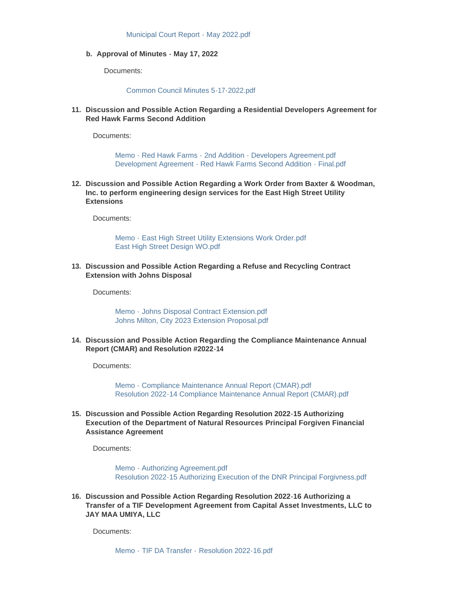**Approval of Minutes - May 17, 2022 b.**

Documents:

#### [Common Council Minutes 5-17-2022.pdf](https://www.milton-wi.gov/AgendaCenter/ViewFile/Item/9909?fileID=7781)

**Discussion and Possible Action Regarding a Residential Developers Agreement for 11. Red Hawk Farms Second Addition**

Documents:

[Memo - Red Hawk Farms - 2nd Addition - Developers Agreement.pdf](https://www.milton-wi.gov/AgendaCenter/ViewFile/Item/9948?fileID=7739) [Development Agreement - Red Hawk Farms Second Addition - Final.pdf](https://www.milton-wi.gov/AgendaCenter/ViewFile/Item/9948?fileID=7740)

**Discussion and Possible Action Regarding a Work Order from Baxter & Woodman, 12. Inc. to perform engineering design services for the East High Street Utility Extensions**

Documents:

[Memo - East High Street Utility Extensions Work Order.pdf](https://www.milton-wi.gov/AgendaCenter/ViewFile/Item/9960?fileID=7785) [East High Street Design WO.pdf](https://www.milton-wi.gov/AgendaCenter/ViewFile/Item/9960?fileID=7786)

**Discussion and Possible Action Regarding a Refuse and Recycling Contract 13. Extension with Johns Disposal**

Documents:

[Memo - Johns Disposal Contract Extension.pdf](https://www.milton-wi.gov/AgendaCenter/ViewFile/Item/9947?fileID=7737) [Johns Milton, City 2023 Extension Proposal.pdf](https://www.milton-wi.gov/AgendaCenter/ViewFile/Item/9947?fileID=7738)

**Discussion and Possible Action Regarding the Compliance Maintenance Annual 14. Report (CMAR) and Resolution #2022-14**

Documents:

[Memo - Compliance Maintenance Annual Report \(CMAR\).pdf](https://www.milton-wi.gov/AgendaCenter/ViewFile/Item/9956?fileID=7751) [Resolution 2022-14 Compliance Maintenance Annual Report \(CMAR\).pdf](https://www.milton-wi.gov/AgendaCenter/ViewFile/Item/9956?fileID=7752)

**Discussion and Possible Action Regarding Resolution 2022-15 Authorizing 15. Execution of the Department of Natural Resources Principal Forgiven Financial Assistance Agreement**

Documents:

[Memo - Authorizing Agreement.pdf](https://www.milton-wi.gov/AgendaCenter/ViewFile/Item/9943?fileID=7729) [Resolution 2022-15 Authorizing Execution of the DNR Principal Forgivness.pdf](https://www.milton-wi.gov/AgendaCenter/ViewFile/Item/9943?fileID=7730)

**Discussion and Possible Action Regarding Resolution 2022-16 Authorizing a 16. Transfer of a TIF Development Agreement from Capital Asset Investments, LLC to JAY MAA UMIYA, LLC**

Documents: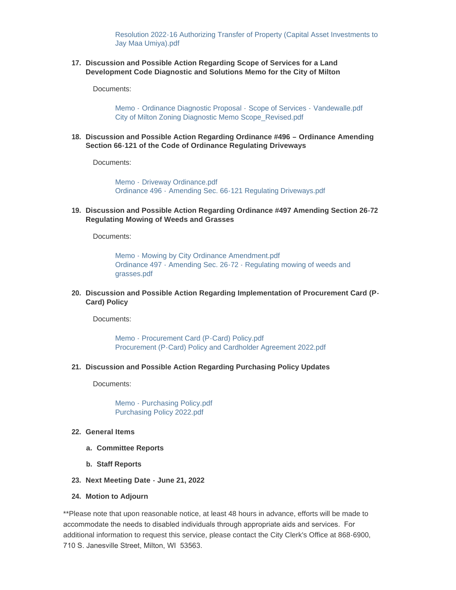[Resolution 2022-16 Authorizing Transfer of Property \(Capital Asset Investments to](https://www.milton-wi.gov/AgendaCenter/ViewFile/Item/9945?fileID=7734)  Jay Maa Umiya).pdf

**Discussion and Possible Action Regarding Scope of Services for a Land 17. Development Code Diagnostic and Solutions Memo for the City of Milton**

Documents:

Memo - [Ordinance Diagnostic Proposal -](https://www.milton-wi.gov/AgendaCenter/ViewFile/Item/9961?fileID=7787) Scope of Services - Vandewalle.pdf [City of Milton Zoning Diagnostic Memo Scope\\_Revised.pdf](https://www.milton-wi.gov/AgendaCenter/ViewFile/Item/9961?fileID=7788)

**Discussion and Possible Action Regarding Ordinance #496 – Ordinance Amending 18. Section 66-121 of the Code of Ordinance Regulating Driveways**

Documents:

Memo - [Driveway Ordinance.pdf](https://www.milton-wi.gov/AgendaCenter/ViewFile/Item/9962?fileID=7790) Ordinance 496 - [Amending Sec. 66-121 Regulating Driveways.pdf](https://www.milton-wi.gov/AgendaCenter/ViewFile/Item/9962?fileID=7791)

**Discussion and Possible Action Regarding Ordinance #497 Amending Section 26-72 19. Regulating Mowing of Weeds and Grasses**

Documents:

[Memo - Mowing by City Ordinance Amendment.pdf](https://www.milton-wi.gov/AgendaCenter/ViewFile/Item/9964?fileID=7793) [Ordinance 497 - Amending Sec. 26-72 - Regulating mowing of weeds and](https://www.milton-wi.gov/AgendaCenter/ViewFile/Item/9964?fileID=7795)  grasses.pdf

**Discussion and Possible Action Regarding Implementation of Procurement Card (P-20. Card) Policy**

Documents:

[Memo - Procurement Card \(P-Card\) Policy.pdf](https://www.milton-wi.gov/AgendaCenter/ViewFile/Item/9957?fileID=7753) [Procurement \(P-Card\) Policy and Cardholder Agreement 2022.pdf](https://www.milton-wi.gov/AgendaCenter/ViewFile/Item/9957?fileID=7754)

**Discussion and Possible Action Regarding Purchasing Policy Updates 21.**

Documents:

[Memo - Purchasing Policy.pdf](https://www.milton-wi.gov/AgendaCenter/ViewFile/Item/9959?fileID=7784) [Purchasing Policy 2022.pdf](https://www.milton-wi.gov/AgendaCenter/ViewFile/Item/9959?fileID=7783)

- **General Items 22.**
	- **Committee Reports a.**
	- **Staff Reports b.**
- **Next Meeting Date June 21, 2022 23.**
- **Motion to Adjourn 24.**

\*\*Please note that upon reasonable notice, at least 48 hours in advance, efforts will be made to accommodate the needs to disabled individuals through appropriate aids and services. For additional information to request this service, please contact the City Clerk's Office at 868-6900, 710 S. Janesville Street, Milton, WI 53563.